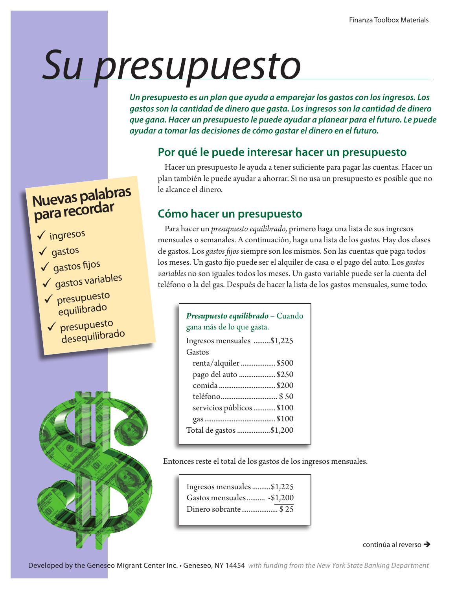# *Su presupuesto*

*Un presupuesto es un plan que ayuda a emparejar los gastos con los ingresos. Los gastos son la cantidad de dinero que gasta. Los ingresos son la cantidad de dinero que gana. Hacer un presupuesto le puede ayudar a planear para el futuro. Le puede ayudar a tomar las decisiones de cómo gastar el dinero en el futuro.*

## **Por qué le puede interesar hacer un presupuesto**

Hacer un presupuesto le ayuda a tener suficiente para pagar las cuentas. Hacer un plan también le puede ayudar a ahorrar. Si no usa un presupuesto es posible que no le alcance el dinero.

## **Cómo hacer un presupuesto**

Para hacer un *presupuesto equilibrado,* primero haga una lista de sus ingresos mensuales o semanales. A continuación, haga una lista de los *gastos.* Hay dos clases de gastos. Los *gastos fijos* siempre son los mismos. Son las cuentas que paga todos los meses. Un gasto fijo puede ser el alquiler de casa o el pago del auto. Los *gastos variables* no son iguales todos los meses. Un gasto variable puede ser la cuenta del teléfono o la del gas. Después de hacer la lista de los gastos mensuales, sume todo.

## *Presupuesto equilibrado* – Cuando gana más de lo que gasta.

| Ingresos mensuales \$1,225 |  |
|----------------------------|--|
| Gastos                     |  |
| renta/alquiler \$500       |  |
| pago del auto  \$250       |  |
| comida \$200               |  |
|                            |  |
| servicios públicos  \$100  |  |
|                            |  |
| Total de gastos \$1,200    |  |
|                            |  |

Entonces reste el total de los gastos de los ingresos mensuales.

| Ingresos mensuales\$1,225 |
|---------------------------|
| Gastos mensuales -\$1,200 |
| Dinero sobrante\$25       |

### continúa al reverso  $\rightarrow$

**Nuevas palabras para recordar**

- ingresos
- $\sqrt{q}$ astos
- $\checkmark$  gastos fijos
- $\checkmark$  gastos variables
- presupuesto equilibrado
- presupuesto desequilibrado

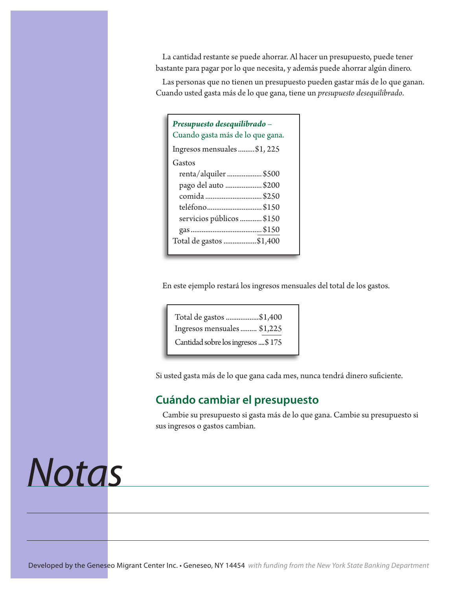La cantidad restante se puede ahorrar. Al hacer un presupuesto, puede tener bastante para pagar por lo que necesita, y además puede ahorrar algún dinero.

Las personas que no tienen un presupuesto pueden gastar más de lo que ganan. Cuando usted gasta más de lo que gana, tiene un *presupuesto desequilibrado*.

| Presupuesto desequilibrado –<br>Cuando gasta más de lo que gana. |  |  |
|------------------------------------------------------------------|--|--|
| Ingresos mensuales\$1,225                                        |  |  |
| Gastos                                                           |  |  |
| renta/alquiler \$500                                             |  |  |
| pago del auto \$200                                              |  |  |
| comida \$250                                                     |  |  |
| teléfono\$150                                                    |  |  |
| servicios públicos \$150                                         |  |  |
|                                                                  |  |  |
| Total de gastos \$1,400                                          |  |  |

En este ejemplo restará los ingresos mensuales del total de los gastos.

| Total de gastos \$1,400            |  |
|------------------------------------|--|
| Ingresos mensuales  \$1,225        |  |
| Cantidad sobre los ingresos  \$175 |  |

Si usted gasta más de lo que gana cada mes, nunca tendrá dinero suficiente.

## **Cuándo cambiar el presupuesto**

Cambie su presupuesto si gasta más de lo que gana. Cambie su presupuesto si sus ingresos o gastos cambian.

## *Notas*

Developed by the Geneseo Migrant Center Inc. • Geneseo, NY 14454 *with funding from the New York State Banking Department*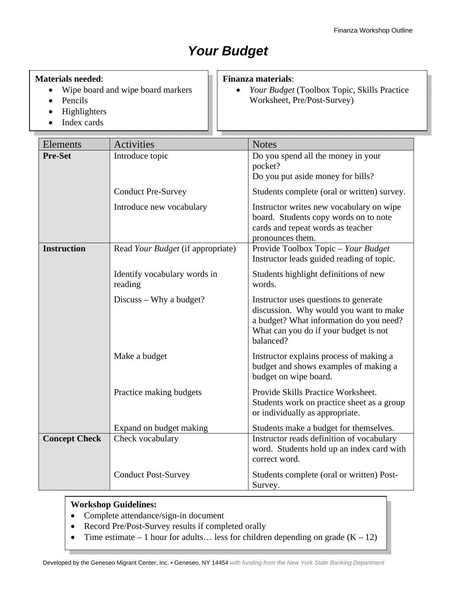## *Your Budget*

### **Materials needed**:

- Wipe board and wipe board markers
- Pencils
- Highlighters
- Index cards

#### **Finanza materials**:

• *Your Budget* (Toolbox Topic, Skills Practice Worksheet, Pre/Post-Survey)

| Elements                          | Activities                              | <b>Notes</b>                                                                                                                                                                     |  |
|-----------------------------------|-----------------------------------------|----------------------------------------------------------------------------------------------------------------------------------------------------------------------------------|--|
| <b>Pre-Set</b><br>Introduce topic |                                         | Do you spend all the money in your<br>pocket?                                                                                                                                    |  |
|                                   |                                         | Do you put aside money for bills?                                                                                                                                                |  |
|                                   | <b>Conduct Pre-Survey</b>               | Students complete (oral or written) survey.                                                                                                                                      |  |
|                                   | Introduce new vocabulary                | Instructor writes new vocabulary on wipe<br>board. Students copy words on to note<br>cards and repeat words as teacher<br>pronounces them.                                       |  |
| <b>Instruction</b>                | Read Your Budget (if appropriate)       | Provide Toolbox Topic - Your Budget<br>Instructor leads guided reading of topic.                                                                                                 |  |
|                                   | Identify vocabulary words in<br>reading | Students highlight definitions of new<br>words.                                                                                                                                  |  |
|                                   | Discuss – Why a budget?                 | Instructor uses questions to generate<br>discussion. Why would you want to make<br>a budget? What information do you need?<br>What can you do if your budget is not<br>balanced? |  |
|                                   | Make a budget                           | Instructor explains process of making a<br>budget and shows examples of making a<br>budget on wipe board.                                                                        |  |
|                                   | Practice making budgets                 | Provide Skills Practice Worksheet.<br>Students work on practice sheet as a group<br>or individually as appropriate.                                                              |  |
|                                   | Expand on budget making                 | Students make a budget for themselves.                                                                                                                                           |  |
| <b>Concept Check</b>              | Check vocabulary                        | Instructor reads definition of vocabulary<br>word. Students hold up an index card with<br>correct word.                                                                          |  |
|                                   | <b>Conduct Post-Survey</b>              | Students complete (oral or written) Post-<br>Survey.                                                                                                                             |  |

### **Workshop Guidelines:**

- Complete attendance/sign-in document
- Record Pre/Post-Survey results if completed orally
- Time estimate 1 hour for adults... less for children depending on grade  $(K 12)$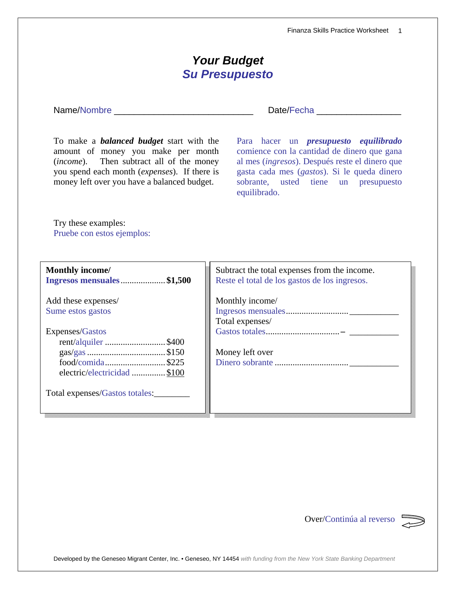Developed by the Geneseo Migrant Center, Inc. • Geneseo, NY 14454 *with funding from the New York State Banking Department*

| <b>Your Budget</b><br><b>Su Presupuesto</b>                                                                                                                                                                                             |                                                                                                                                                                                                                                                      |  |
|-----------------------------------------------------------------------------------------------------------------------------------------------------------------------------------------------------------------------------------------|------------------------------------------------------------------------------------------------------------------------------------------------------------------------------------------------------------------------------------------------------|--|
|                                                                                                                                                                                                                                         | Date/Fecha ______                                                                                                                                                                                                                                    |  |
| To make a <b><i>balanced budget</i></b> start with the<br>amount of money you make per month<br>(income). Then subtract all of the money<br>you spend each month (expenses). If there is<br>money left over you have a balanced budget. | Para hacer un <i>presupuesto equilibrado</i><br>comience con la cantidad de dinero que gana<br>al mes (ingresos). Después reste el dinero que<br>gasta cada mes (gastos). Si le queda dinero<br>sobrante, usted tiene un presupuesto<br>equilibrado. |  |
| Try these examples:<br>Pruebe con estos ejemplos:                                                                                                                                                                                       |                                                                                                                                                                                                                                                      |  |
| <b>Monthly income/</b><br>Ingresos mensuales\$1,500                                                                                                                                                                                     | Subtract the total expenses from the income.<br>Reste el total de los gastos de los ingresos.                                                                                                                                                        |  |
| Add these expenses/<br>Sume estos gastos                                                                                                                                                                                                | Monthly income/<br>Total expenses/                                                                                                                                                                                                                   |  |
| Expenses/Gastos<br>rent/alquiler \$400<br>food/comida\$225<br>electric/electricidad \$100                                                                                                                                               | Money left over                                                                                                                                                                                                                                      |  |
| Total expenses/Gastos totales:                                                                                                                                                                                                          |                                                                                                                                                                                                                                                      |  |
|                                                                                                                                                                                                                                         |                                                                                                                                                                                                                                                      |  |

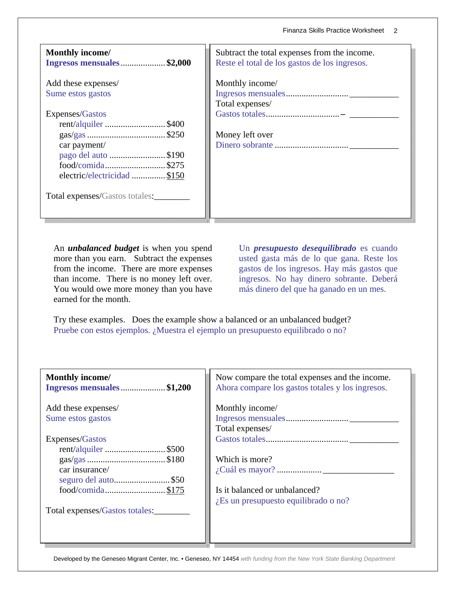| <b>Monthly income/</b><br>Ingresos mensuales\$2,000                                                          | Subtract the total expenses from the income.<br>Reste el total de los gastos de los ingresos. |
|--------------------------------------------------------------------------------------------------------------|-----------------------------------------------------------------------------------------------|
| Add these expenses/<br>Sume estos gastos                                                                     | Monthly income/<br>Total expenses/                                                            |
| Expenses/Gastos<br>rent/alquiler \$400<br>car payment/<br>pago del auto \$190<br>electric/electricidad \$150 | Money left over                                                                               |
| Total expenses/Gastos totales:                                                                               |                                                                                               |

An *unbalanced budget* is when you spend more than you earn. Subtract the expenses from the income. There are more expenses than income. There is no money left over. You would owe more money than you have earned for the month.

Un *presupuesto desequilibrado* es cuando usted gasta más de lo que gana. Reste los gastos de los ingresos. Hay más gastos que ingresos. No hay dinero sobrante. Deberá más dinero del que ha ganado en un mes.

Try these examples. Does the example show a balanced or an unbalanced budget? Pruebe con estos ejemplos. ¿Muestra el ejemplo un presupuesto equilibrado o no?

| <b>Monthly income/</b><br>Ingresos mensuales\$1,200                                                 | Now compare the total expenses and the income.<br>Ahora compare los gastos totales y los ingresos. |
|-----------------------------------------------------------------------------------------------------|----------------------------------------------------------------------------------------------------|
| Add these expenses/<br>Sume estos gastos                                                            | Monthly income/<br>Total expenses/                                                                 |
| Expenses/Gastos<br>rent/alquiler \$500<br>car insurance/<br>seguro del auto\$50<br>food/comida\$175 | Which is more?<br>Is it balanced or unbalanced?<br>$i$ Es un presupuesto equilibrado o no?         |
| Total expenses/Gastos totales:                                                                      |                                                                                                    |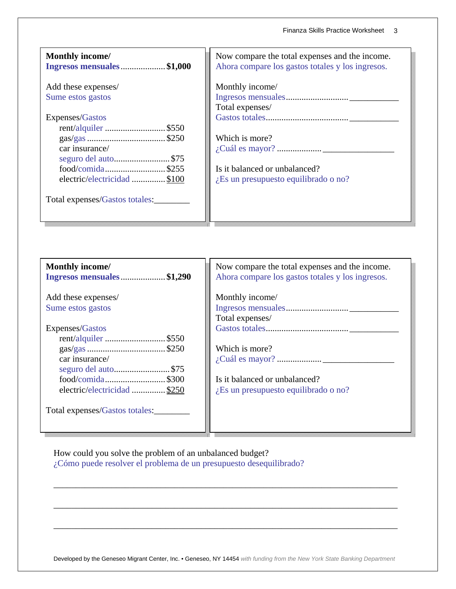| <b>Monthly income/</b><br>Ingresos mensuales\$1,000                                         | Now compare the total expenses and the income.<br>Ahora compare los gastos totales y los ingresos. |
|---------------------------------------------------------------------------------------------|----------------------------------------------------------------------------------------------------|
| Add these expenses/<br>Sume estos gastos                                                    | Monthly income/<br>Total expenses/                                                                 |
| Expenses/Gastos<br>rent/alquiler \$550                                                      | Which is more?                                                                                     |
| car insurance/<br>seguro del auto\$75<br>$food/comida$ \$255<br>electric/electricidad \$100 | Is it balanced or unbalanced?<br>$i$ Es un presupuesto equilibrado o no?                           |
| Total expenses/Gastos totales:                                                              |                                                                                                    |

| <b>Monthly income/</b><br>Ingresos mensuales\$1,290 | Now compare the total expenses and the income.<br>Ahora compare los gastos totales y los ingresos. |
|-----------------------------------------------------|----------------------------------------------------------------------------------------------------|
| Add these expenses/<br>Sume estos gastos            | Monthly income/                                                                                    |
|                                                     | Total expenses/                                                                                    |
| Expenses/Gastos                                     |                                                                                                    |
| rent/alquiler \$550                                 |                                                                                                    |
|                                                     | Which is more?                                                                                     |
| car insurance/<br>seguro del auto\$75               |                                                                                                    |
|                                                     | Is it balanced or unbalanced?                                                                      |
| electric/electricidad \$250                         | $i$ Es un presupuesto equilibrado o no?                                                            |
| Total expenses/Gastos totales:                      |                                                                                                    |

How could you solve the problem of an unbalanced budget? ¿Cómo puede resolver el problema de un presupuesto desequilibrado?

Developed by the Geneseo Migrant Center, Inc. • Geneseo, NY 14454 *with funding from the New York State Banking Department*

\_\_\_\_\_\_\_\_\_\_\_\_\_\_\_\_\_\_\_\_\_\_\_\_\_\_\_\_\_\_\_\_\_\_\_\_\_\_\_\_\_\_\_\_\_\_\_\_\_\_\_\_\_\_\_\_\_\_\_\_\_\_\_\_\_\_\_\_\_\_\_\_\_\_\_\_\_

\_\_\_\_\_\_\_\_\_\_\_\_\_\_\_\_\_\_\_\_\_\_\_\_\_\_\_\_\_\_\_\_\_\_\_\_\_\_\_\_\_\_\_\_\_\_\_\_\_\_\_\_\_\_\_\_\_\_\_\_\_\_\_\_\_\_\_\_\_\_\_\_\_\_\_\_\_

\_\_\_\_\_\_\_\_\_\_\_\_\_\_\_\_\_\_\_\_\_\_\_\_\_\_\_\_\_\_\_\_\_\_\_\_\_\_\_\_\_\_\_\_\_\_\_\_\_\_\_\_\_\_\_\_\_\_\_\_\_\_\_\_\_\_\_\_\_\_\_\_\_\_\_\_\_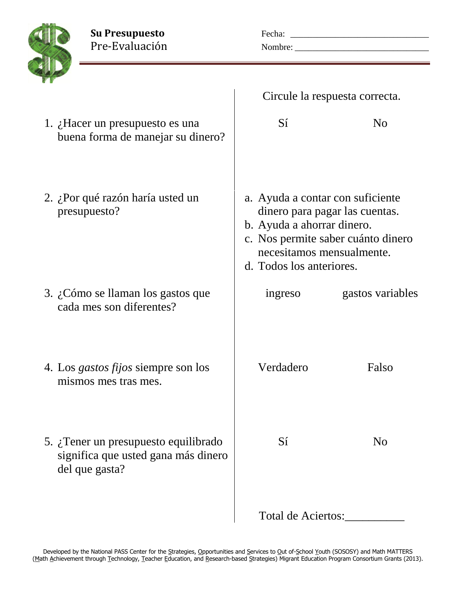**Su Presupuesto** Fecha: \_\_\_\_\_\_\_\_\_\_\_\_\_\_\_\_\_\_\_\_\_\_\_\_\_\_\_\_\_\_\_ Pre-Evaluación Nombre: \_\_\_\_\_\_\_\_\_\_\_\_\_\_\_\_\_\_\_\_\_\_\_\_\_\_\_\_\_\_



|                                                                                                        | Circule la respuesta correcta.                                                                                          |                                                                      |
|--------------------------------------------------------------------------------------------------------|-------------------------------------------------------------------------------------------------------------------------|----------------------------------------------------------------------|
| 1. $\lambda$ . Hacer un presupuesto es una<br>buena forma de manejar su dinero?                        | Sí                                                                                                                      | No                                                                   |
| 2. ¿Por qué razón haría usted un<br>presupuesto?                                                       | a. Ayuda a contar con suficiente<br>b. Ayuda a ahorrar dinero.<br>necesitamos mensualmente.<br>d. Todos los anteriores. | dinero para pagar las cuentas.<br>c. Nos permite saber cuánto dinero |
| 3. ¿Cómo se llaman los gastos que<br>cada mes son diferentes?                                          | ingreso                                                                                                                 | gastos variables                                                     |
| 4. Los <i>gastos fijos</i> siempre son los<br>mismos mes tras mes.                                     | Verdadero                                                                                                               | Falso                                                                |
| 5. $\zeta$ . Tener un presupuesto equilibrado<br>significa que usted gana más dinero<br>del que gasta? | Sí                                                                                                                      | N <sub>0</sub>                                                       |
|                                                                                                        | Total de Aciertos:                                                                                                      |                                                                      |